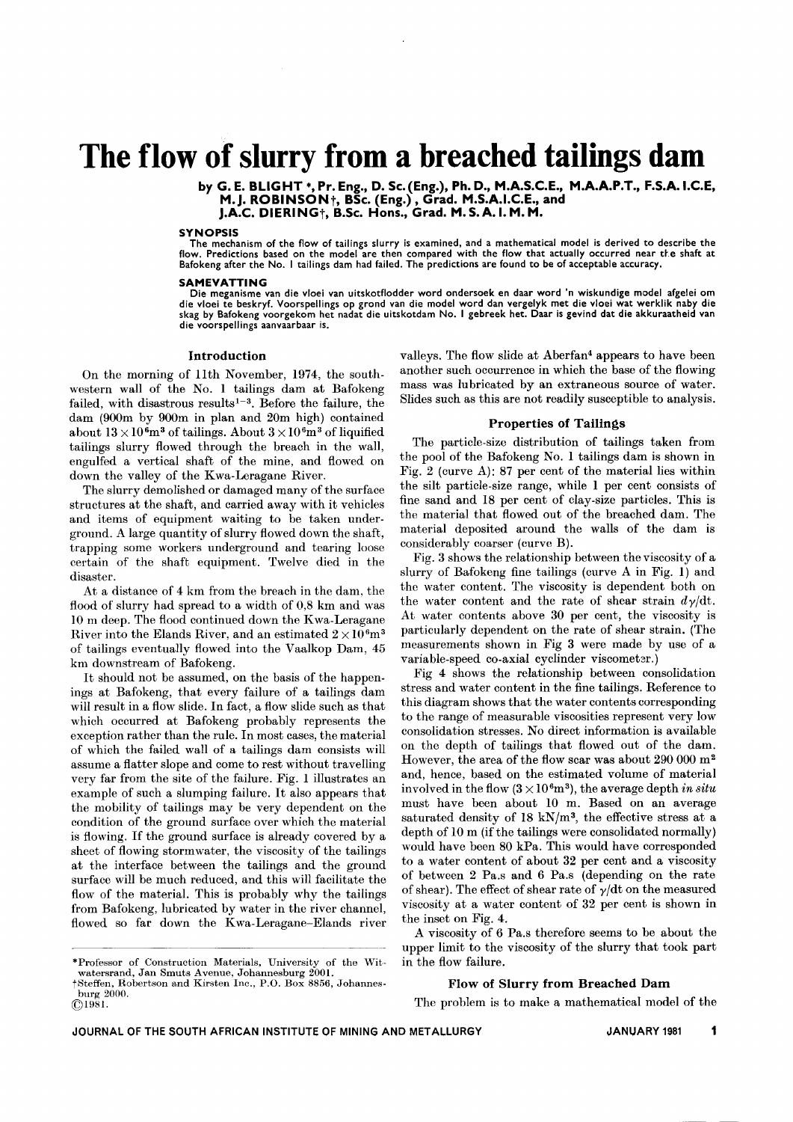# **The flow of slurry from a breached tailings dam**

by G. E. BLIGHT \*, Pr. Eng., D. Sc. (Eng.), Ph. D., M.A.S.C.E., M.A.A.P.T., F.S.A. I.C.I M. J. ROBINSON†, BSc. (Eng.) , Grad. M.S.A.I.C.E., and J.A.C. DIERINGt, B.Sc. Hons., Grad. M.S.A.I.M.M.

#### SYNOPSIS

The mechanism of the flow of tailings slurry is examined, and a mathematical model is derived to describe the flow. Predictions based on the model are then compared with the flow that actually occurred near the shaft at Bafokeng after the No. I tailings dam had failed. The predictions are found to be of acceptable accuracy.

#### **SAMEVATTING**

. die vloel te beskryf. Voorspelllngs op gr~nd ~an die model word dan vergelyk met die vloei wat werklik naby die Die meganisme van die vloei van uitskotflodder word ondersoek en daar word 'n wiskundige model afgelei om skag by Bafokeng voorgekom het nadat die ultskotdam No. I gebreek het. Daar is gevind dat die akkuraatheid van die voorspellings aanvaarbaar is.

#### Introduction

On the morning of llth November, 1974, the southwestern wall of the No. 1 tailings dam at Bafokeng failed, with disastrous results<sup>1-3</sup>. Before the failure, the dam  $(900m)$  by  $900m$  in plan and  $20m$  high) contained about  $13 \times 10^{6}$ m<sup>3</sup> of tailings. About  $3 \times 10^{6}$ m<sup>3</sup> of liquified tailings slurry flowed through the breach in the wall, engulfed a vertical shaft of the mine, and flowed on down the valley of the Kwa-Leragane River.

The slurry demolished or damaged many of the surface structures at the shaft, and carried away with it vehicles and items of equipment waiting to be taken underground. A large quantity of slurry flowed down the shaft, trapping some workers underground and tearing loose certain of the shaft equipment. Twelve died in the disaster.

At a distance of 4 km from the breach in the dam, the flood of slurry had spread to a width of 0,8 km and was 10 m deep. The flood continued down the Kwa-Leragane River into the Elands River, and an estimated  $2 \times 10^{6}$ m<sup>3</sup> of tailings eventually flowed into the Vaalkop Dam, 45 km downstream of Bafokeng.

It should not be assumed, on the basis of the happenings at Bafokeng, that every failure of a tailings dam will result in a flow slide. In fact, a flow slide such as that which occurred at Bafokeng probably represents the exception rather than the rule. In most cases, the material of which the failed wall of a tailings dam consists will assume a flatter slope and come to rest without travelling very far from the site of the failure. Fig. 1 illustrates an example of such a slumping failure. It also appears that the mobility of tailings may be very dependent on the condition of the ground surface over which the material is flowing. If the ground surface is already covered by a sheet of flowing stormwater, the viscosity of the tailings at the interface between the tailings and the ground surface will be much reduced, and this will facilitate the flow of the material. This is probably why the tailings from Bafokeng, lubricated by water in the river channel, flowed so far down the Kwa-Leragane-Elands river valleys. The flow slide at Aberfan4 appears to have been another such occurrence in which the base of the flowing mass was lubricated by an extraneous source of water. Slides such as this are not readily susceptible to analysis.

# Properties of Tailings

The particle-size distribution of tailings taken from the pool of the Bafokeng No. 1 tailings dam is shown in Fig. 2 (curve *A):* 87 per cent of the material lies within the silt particle-size range, while 1 per cent consists of fine sand and 18 per cent of clay-size particles. This is the material that flowed out of the breached dam. The material deposited around the walls of the dam is considerably coarser (curve B).

Fig. 3 shows the relationship between the viscosity of a slurry of Bafokeng fine tailings (curve A in Fig. 1) and thc water content. The viscosity is dependent both on the water content and the rate of shear strain  $d\gamma/dt$ . At water contents above 30 per cent, the viscosity is particularly dependent on the rate of shear strain. (The measurements shown in Fig 3 were made by use of a variable-speed co-axial cyclinder viscometer.)

Fig 4 shows the relationship between consolidation stress and water content in the fine tailings. Reference to this diagram shows that the water contents corresponding to the range of measurable viscosities represent very low consolidation stresses. No direct information is available on the depth of tailings that flowed out of the dam. However, the area of the flow scar was about 290 000 m2 and, hence, based on the estimated volume of material involved in the flow  $(3 \times 10^6 \text{m}^3)$ , the average depth *in situ* must have been about 10 m. Based on an average saturated density of 18 kN/m<sup>3</sup>, the effective stress at a depth of 10 m (if the tailings were consolidated normally) would have been 80 kPa. This would have corresponded to a water content of about 32 per cent and a viscosity of between 2 Pa.s and 6 Pa.s (depending on the rate of shear). The effect of shear rate of  $\gamma/dt$  on the measured viscosity at a water content of 32 per cent is shown in the inset on Fig. 4.

A viscosity of 6 Pa.s therefore seems to be about the upper limit to the viscosity of the slurry that took part in the flow failure.

## Flow of Slurry from Breached Dam

The problem is to make a mathematical model of the

<sup>\*</sup>Professor of Construction Materials, University of the Witwatersrand, Jan Smuts Avenue, Johannesburg 2001.

tSteffen, Robertson and Kirsten Inc., P.O. Box 8856, Johannesburg 2000.

 $@{}1981.$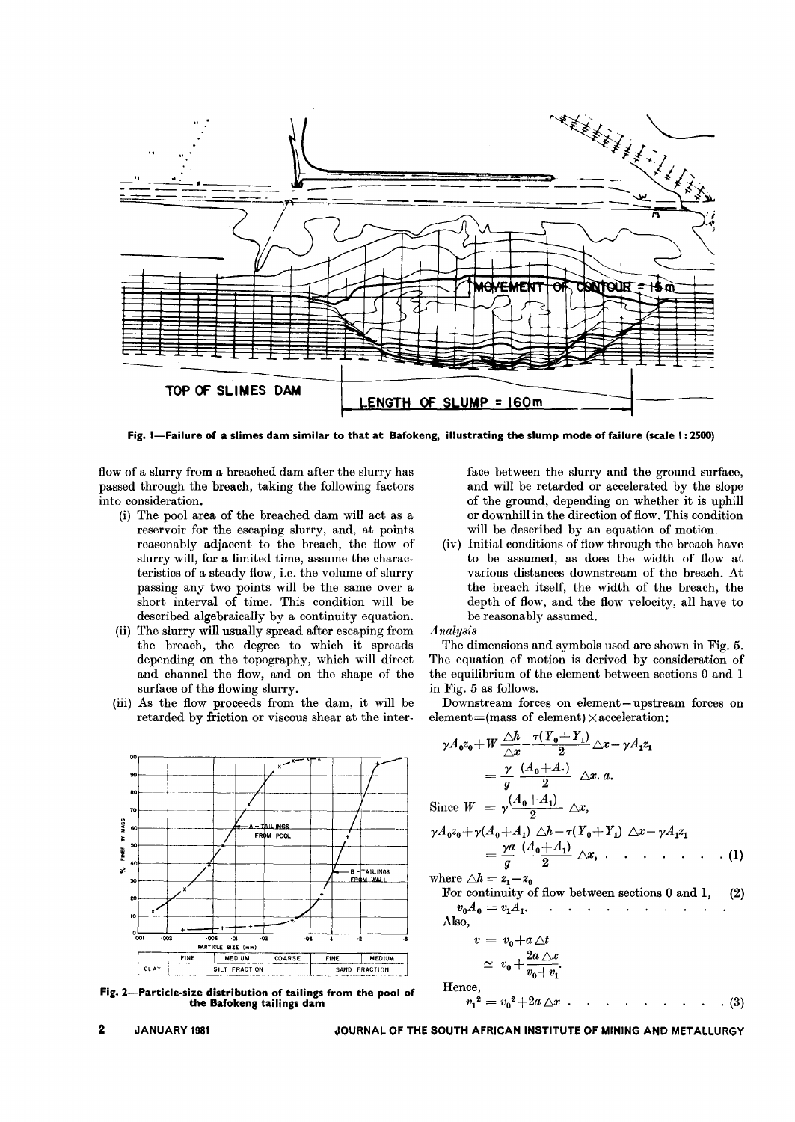

Fig. I-Failure of a slimes dam similar to that at Bafokeng, illustrating the slump mode of failure (scale I: 2500)

flow of a slurry from a breached dam after the slurry has passed through the breach, taking the following factors into consideration.

- (i) The pool area of the breached dam will act as a reservoir for the escaping slurry, and, at points reasonably adjacent to the breach, the flow of slurry will, for a limited time, assume the characteristics of a steady flow, i.e. the volume of slurry passing any two points will be the same over a short interval of time. This condition will be described algebraically by a continuity equation.
- (ii) The slurry will usually spread after escaping from the breach, the degree to which it spreads depending on the topography, which will direct and channel the flow, and on the shape of the surface of the flowing slurry.
- (iii) As the flow proceeds from the dam, it will be retarded by friction or viscous shear at the inter-



Fig. 2-Particle-size distribution of tailings from the pool of the Bafokeng tailings dam

face between the slurry and the ground surface, and will be retarded or accelerated by the slope of the ground, depending on whether it is uphill or downhill in the direction of flow. This condition will be described by an equation of motion.

(iv) Initial conditions of flow through the breach have to be assumed, as does the width of flow at various distances downstream of the breach. At the breach itself, the width of the breach, the depth of flow, and the flow velocity, all have to be reasonably assumed.

*Analysis*

The dimensions and symbols used are shown in Fig. 5. The equation of motion is derived by consideration of the equilibrium of the element between sections 0 and 1 in Fig. 5 as follows.

Downstream forces on element-upstream forces on element=(mass of element) $\times$ acceleration:

$$
\gamma A_0 z_0 + W \frac{\triangle h}{\triangle x} - \frac{\tau (Y_0 + Y_1)}{2} \triangle x - \gamma A_1 z_1
$$
  
\n
$$
= \frac{\gamma}{g} \frac{(A_0 + A_1)}{2} \triangle x. a.
$$
  
\nSince  $W = \gamma \frac{(A_0 + A_1)}{2} \triangle x$ ,  
\n $\gamma A_0 z_0 + \gamma (A_0 + A_1) \triangle b - \tau (Y_0 + Y_1) \triangle x - \gamma A_1 z_1$   
\n
$$
= \frac{\gamma a}{g} \frac{(A_0 + A_1)}{2} \triangle x, \qquad \qquad \dots \qquad \qquad . (1)
$$
  
\nwhere  $\triangle h = z_1 - z_0$   
\nFor continuity of flow between sections 0 and 1, (2)

For continuity of now between sections 0 and 1, (2)  
\n
$$
v_0 A_0 = v_1 A_1.
$$

$$
v = v_0 + a \triangle t
$$
  
\n
$$
\simeq v_0 + \frac{2a \triangle x}{v_0 + v_1}.
$$
  
\nHence,  
\n
$$
v_1^2 = v_0^2 + 2a \triangle x \cdot \cdot \cdot \cdot \cdot \cdot \cdot \cdot \cdot \cdot (3)
$$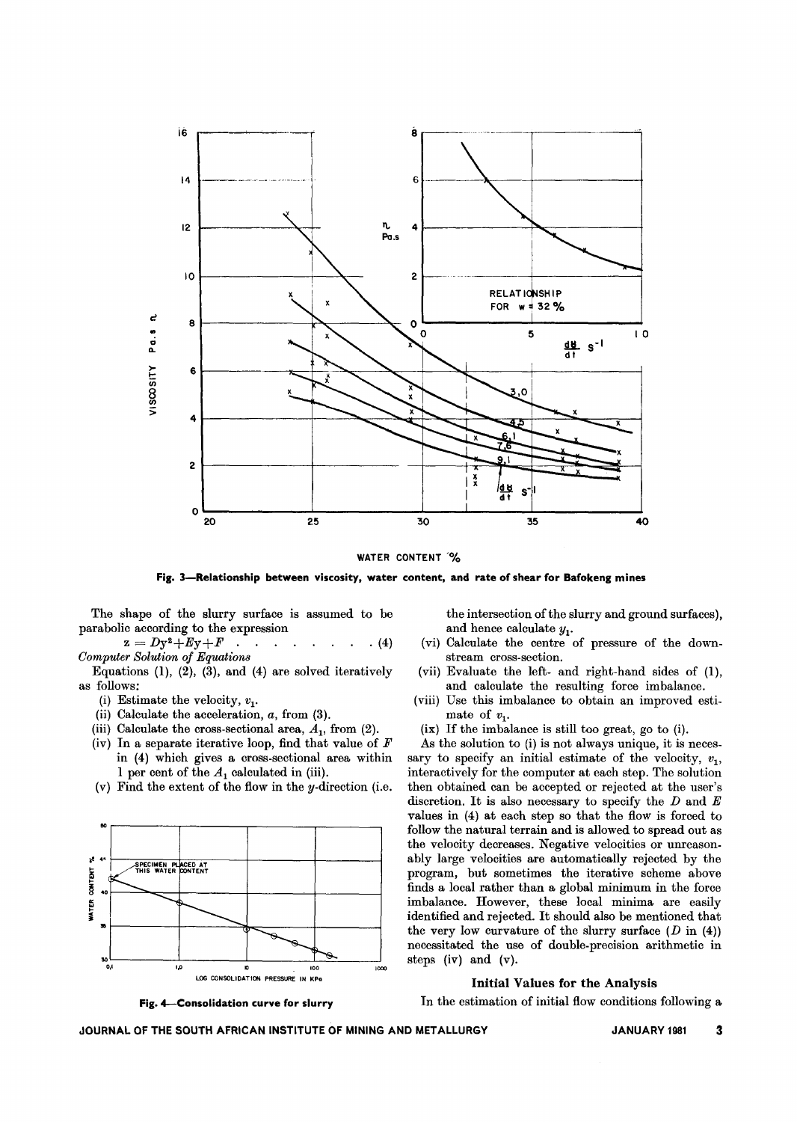

WATER CONTENT %

Fig. 3-Relationship between viscosity, water content, and rate of shear for Bafokeng mines

The shape of the slurry surface is assumed to be parabolic according to the expression

 $z = Dy^2 + Ey + F$  $\cdot$  (4) **Computer Solution of Equations** 

Equations (1), (2), (3), and (4) are solved iteratively as follows:

- (i) Estimate the velocity,  $v_1$ .
- (ii) Calculate the acceleration,  $a$ , from  $(3)$ .
- (iii) Calculate the cross-sectional area,  $A_1$ , from (2).
- (iv) In a separate iterative loop, find that value of  $F$ in (4) which gives a cross-sectional area within 1 per cent of the  $A_1$  calculated in (iii).
- (v) Find the extent of the flow in the  $y$ -direction (i.e.



the intersection of the slurry and ground surfaces), and hence calculate  $y_1$ . (vi) Calculate the centre of pressure of the down-

- stream cross-section.
- (vii) Evaluate the left- and right-hand sides of (1), and calculate the resulting force imbalance.
- (viii) Use this imbalance to obtain an improved estimate of  $v_1$ .
- (ix) If the imbalance is still too great, go to (i).

As the solution to (i) is not always unique, it is necessary to specify an initial estimate of the velocity,  $v_1$ , interactively for the computer at each step. The solution then obtained can be accepted or rejected at the user's discretion. It is also necessary to specify the  $D$  and  $E$ values in (4) at each step so that the flow is forced to follow the natural terrain and is allowed to spread out as the velocity decreases. Negative velocities or unreasonably large velocities are automatically rejected by the program, but sometimes the iterative scheme above finds a local rather than a global minimum in the force imbalance. However, these local minima are easily identified and rejected. It should also be mentioned that the very low curvature of the slurry surface  $(D \text{ in } (4))$ necessitated the use of double-precision arithmetic in steps  $(iv)$  and  $(v)$ .

## **Initial Values for the Analysis**

Fig. 4-Consolidation curve for slurry

In the estimation of initial flow conditions following a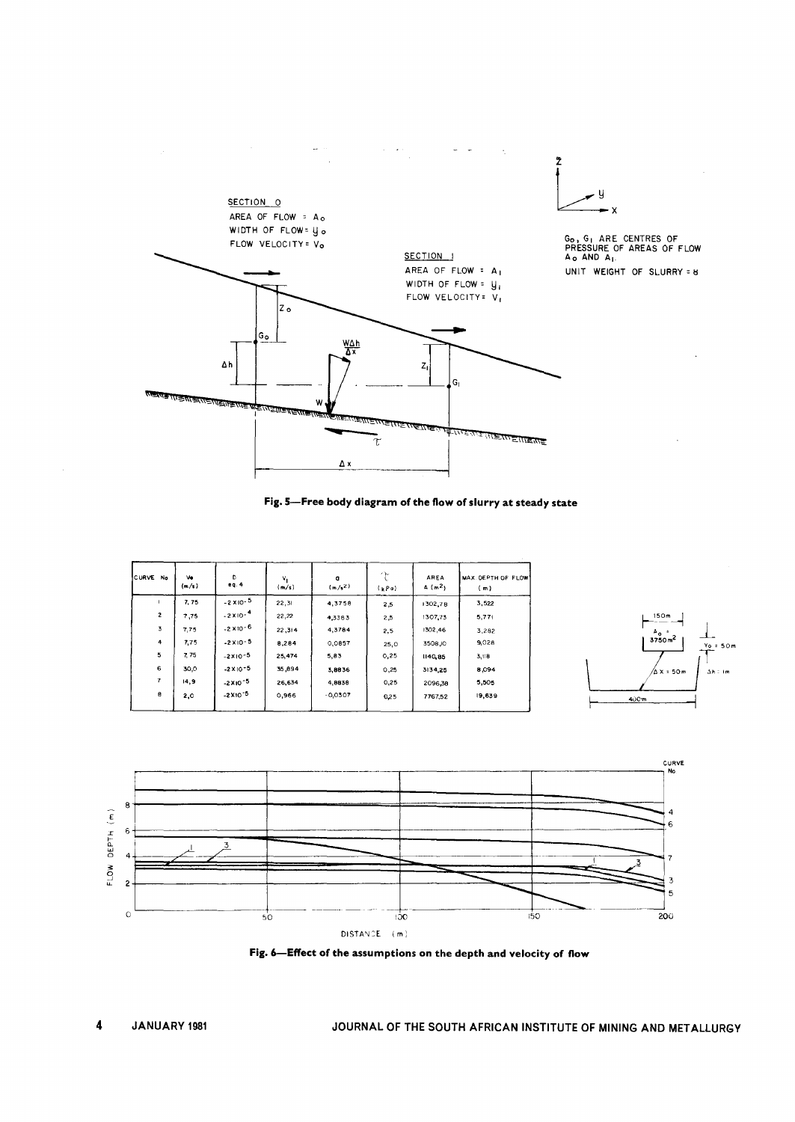



| <b>CURVE</b><br>No | Ve<br>(m/s) | D<br>eq.4           | $V_{1}$<br>(m/s) | $\mathbf{q}$<br>$(m/s^2)$ | Y<br>(kPo) | AREA<br>A(m <sup>2</sup> ) | MAX. DEPTH OF FLOW<br>(m) |
|--------------------|-------------|---------------------|------------------|---------------------------|------------|----------------------------|---------------------------|
|                    | 7,75        | $-2 \times 10^{-5}$ | 22,31            | 4,3758                    | 2,5        | 1302,78                    | 3,522                     |
| $\overline{2}$     | 7,75        | $-2 \times 10^{-4}$ | 22,22            | 4,3383                    | 2,5        | 1307,73                    | 5,77                      |
| 3                  | 7,75        | $-2 \times 10^{-6}$ | 22,314           | 4,3784                    | 2,5        | 1302,46                    | 3,282                     |
| 4                  | 7,75        | $-2$ X $10-5$       | 8,284            | 0,0857                    | 25,0       | 3508,10                    | 9,028                     |
| 5                  | 7.75        | $-2x10-5$           | 25,474           | 5,83                      | 0,25       | 1140,85                    | 3,118                     |
| 6                  | 30,0        | $-2$ X 10 $-5$      | 35,894           | 3,8836                    | 0,25       | 3134,25                    | 8,094                     |
| 7                  | 14, 9       | $-2X10^{-5}$        | 26,634           | 4,8838                    | 0,25       | 2096.38                    | 5,505                     |
| $\theta$           | 2,0         | $-2X10^{-5}$        | 0,966            | $-0,0307$                 | 0,25       | 7767,52                    | 19,639                    |





Fig. 6-Effect of the assumptions on the depth and velocity of flow

 $\bar{z}$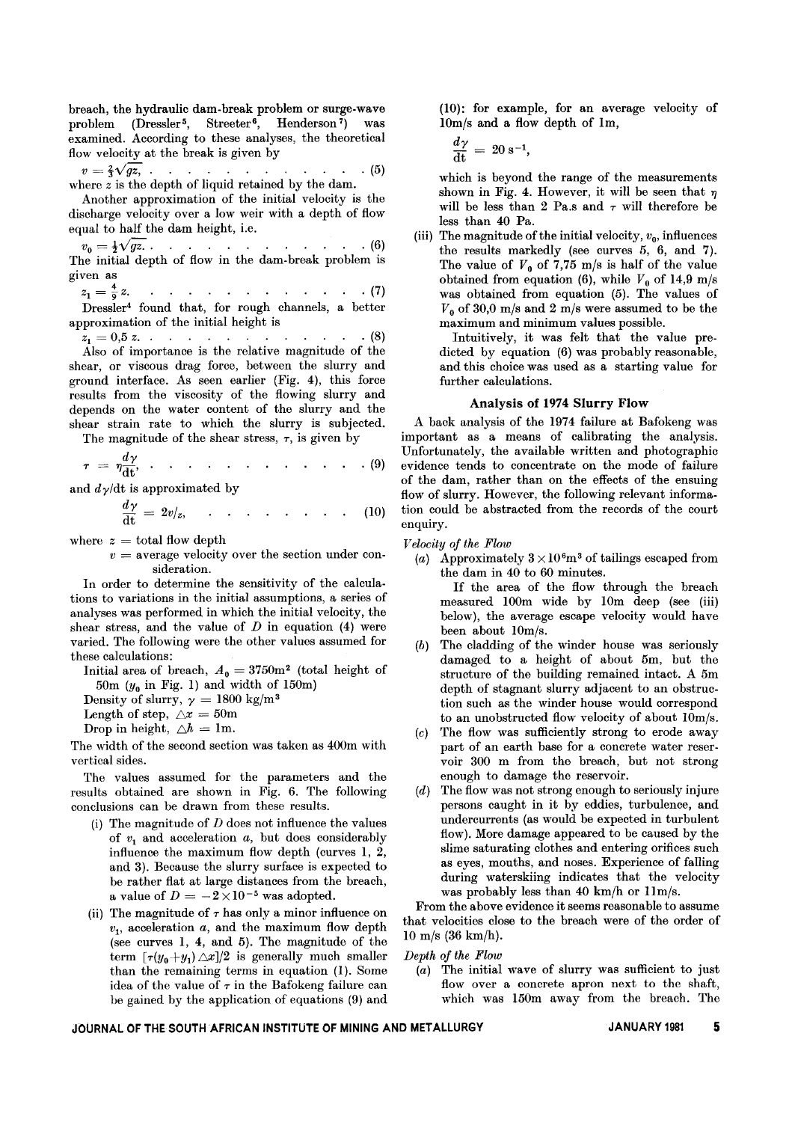breach, the hydraulic dam-break problem or surge-wave problem (Dressler<sup>5</sup>, Streeter<sup>6</sup>, Henderson<sup>7</sup>) was examined. According to these analyses, the theoretical flow velocity at the break is given by

$$
v = \frac{2}{3}\sqrt{gz}, \qquad \qquad \dots \qquad \qquad \dots \qquad \dots \qquad \dots \qquad (5)
$$
  
where z is the depth of liquid retained by the dam.

Another approximation of the initial velocity is the discharge velocity over a low weir with a depth of flow equal to half the dam height, i.e.

 $v_0 = \frac{1}{2}\sqrt{gz}$ . . . . . . . . . . . . . (6) The initial depth of flow in the dam-break problem is given as

$$
z_1 = \frac{4}{9} z.
$$
 1... 1... 17  
Dressler<sup>4</sup> found that, for rough channels, a better approximation of the initial height is

 $z_1 = 0.5$  *z*. . . . . . . . . . . . . . (8) Also of importance is the relative magnitude of the shear, or viscous drag force, between the slurry and ground interface. As seen earlier (Fig. 4), this force results from the viscosity of the flowing slurry and depends on the water content of the slurry and the shear strain rate to which the slurry is subjected. The magnitude of the shear stress,  $\tau$ , is given by

The magnitude of the shear stress, 
$$
7
$$
, is given by\n
$$
\frac{dy}{dt} = \frac{dy}{dt} + \frac{dy}{dt} + \frac{dy}{dt} + \frac{dy}{dt} + \frac{dy}{dt} + \frac{dy}{dt} + \frac{dy}{dt} + \frac{dy}{dt} + \frac{dy}{dt} + \frac{dy}{dt} + \frac{dy}{dt} + \frac{dy}{dt} + \frac{dy}{dt} + \frac{dy}{dt} + \frac{dy}{dt} + \frac{dy}{dt} + \frac{dy}{dt} + \frac{dy}{dt} + \frac{dy}{dt} + \frac{dy}{dt} + \frac{dy}{dt} + \frac{dy}{dt} + \frac{dy}{dt} + \frac{dy}{dt} + \frac{dy}{dt} + \frac{dy}{dt} + \frac{dy}{dt} + \frac{dy}{dt} + \frac{dy}{dt} + \frac{dy}{dt} + \frac{dy}{dt} + \frac{dy}{dt} + \frac{dy}{dt} + \frac{dy}{dt} + \frac{dy}{dt} + \frac{dy}{dt} + \frac{dy}{dt} + \frac{dy}{dt} + \frac{dy}{dt} + \frac{dy}{dt} + \frac{dy}{dt} + \frac{dy}{dt} + \frac{dy}{dt} + \frac{dy}{dt} + \frac{dy}{dt} + \frac{dy}{dt} + \frac{dy}{dt} + \frac{dy}{dt} + \frac{dy}{dt} + \frac{dy}{dt} + \frac{dy}{dt} + \frac{dy}{dt} + \frac{dy}{dt} + \frac{dy}{dt} + \frac{dy}{dt} + \frac{dy}{dt} + \frac{dy}{dt} + \frac{dy}{dt} + \frac{dy}{dt} + \frac{dy}{dt} + \frac{dy}{dt} + \frac{dy}{dt} + \frac{dy}{dt} + \frac{dy}{dt} + \frac{dy}{dt} + \frac{dy}{dt} + \frac{dy}{dt} + \frac{dy}{dt} + \frac{dy}{dt} + \frac{dy}{dt} + \frac{dy}{dt} + \frac{dy}{dt} + \frac{dy}{dt} + \frac{dy}{dt} + \frac{dy}{dt} + \frac{dy}{dt} + \frac{dy}{dt} + \frac{dy}{dt} + \frac{dy}{dt} + \frac{dy}{dt} + \frac{dy}{dt} + \frac{dy}{dt} + \frac{dy}{dt} + \frac{dy}{dt} + \frac{dy}{dt} + \frac{dy}{dt} + \frac{dy}{dt} + \frac{dy}{dt} + \frac{dy}{dt} + \frac{dy}{dt} + \frac{dy}{dt} + \frac{dy}{
$$

$$
\tau = \eta \frac{d\gamma}{dt}, \qquad \qquad \ldots \qquad \qquad \ldots \qquad \qquad \ldots \qquad (9)
$$

and  $d\gamma$  dt is approximated by

$$
\frac{dy}{dt} = 2v/z, \qquad \qquad \ldots \qquad \qquad \ldots \qquad (10)
$$

where  $z =$  total flow dept

 $v =$  average velocity over the section under consideration.

In order to determine the sensitivity of the calculations to variations in the initial assumptions, a series of analyses was performed in which the initial velocity, the shear stress, and the value of *D* in equation (4) were varied. The following were the other values assumed for these calculations:

Initial area of breach,  $A_0 = 3750$ m<sup>2</sup> (total height of 50m  $(y_0$  in Fig. 1) and width of 150m)

Density of slurry,  $\gamma = 1800 \text{ kg/m}$ 

Length of step,  $\triangle x = 50$ m

Drop in height,  $\triangle h = 1$ m.

The width of the second section was taken as 400m with vertical sides.

The values assumed for the parameters and the results obtained are shown in Fig. 6. The following conclusions can be drawn from these results.

- (i) The magnitude of *D* does not influence the values of *VI* and acceleration *a,* but does considerably influence the maximum flow depth (curves 1, 2, and 3). Because the slurry surface is expected to be rather flat at large distances from the breach, a value of  $D = -2 \times 10^{-5}$  was adopted.
- (ii) The magnitude of  $\tau$  has only a minor influence on  $v_1$ , acceleration  $a$ , and the maximum flow depth (see curves 1, 4, and 5). The magnitude of the term  $[\tau(y_0+y_1)\triangle x]/2$  is generally much smaller than the remaining terms in equation (1). Some idea of the value of  $\tau$  in the Bafokeng failure can be gained by the application of equations (9) and

(10): for example, for an average velocity of IOm/s and a flow depth of Im,

$$
\frac{d\gamma}{dt} = 20 \text{ s}^{-1},
$$

which is beyond the range of the measurements shown in Fig. 4. However, it will be seen that  $\eta$ will be less than 2 Pa.s and  $\tau$  will therefore be less than 40 Pa.

(iii) The magnitude of the initial velocity,  $v_0$ , influences the results markedly (see curves 5, 6, and 7). The value of  $V_0$  of 7,75 m/s is half of the value obtained from equation (6), while  $V_0$  of 14,9 m/s was obtained from equation (5). The values of  $V_0$  of 30,0 m/s and 2 m/s were assumed to be the maximum and minimum values possible.

Intuitively, it was felt that the value predicted by equation (6) was probably reasonable, and this choice was used as a starting value for further calculations.

# Analysis **of 1974 Slurry Flow**

A back analysis of the 1974 failure at Bafokeng was important as a means of calibrating the analysis. Unfortunately, the available written and photographic evidence tends to concentrate on the mode of failure of the dam, rather than on the effects of the ensuing flow of slurry. However, the following relevant information could be abstracted from the records of the court enquiry.

*Velocity of the Flow*

(a) Approximately  $3 \times 10^{6}$ m<sup>3</sup> of tailings escaped from the dam in 40 to 60 minutes.

If the area of the flow through the breach measured lOOm wide by IOm deep (see (iii) below), the average escape velocity would have been about IOm/s.

- *(b)* The cladding of the winder house was seriously damaged to a height of about 5m, but the structure of the building remained intact. A 5m depth of stagnant slurry adjacent to an obstruction such as the winder house would correspond to an unobstructed flow velocity of about IOm/s.
- *(c)* The flow was sufficiently strong to erode away part of an earth base for a concrete water reservoir 300 m from the breach, but not strong enough to damage the reservoir.
- *(d)* The flow was not strong enough to seriously injure persons caught in it by eddies, turbulence, and undercurrents (as would be expected in turbulent flow). More damage appeared to be caused by the slime saturating clothes and entering orifices such as eyes, mouths, and noses. Experience of falling during waterskiing indicates that the velocity was probably less than 40 km/h or Um/s.

From the above evidence it seems reasonable to assume that velocities close to the breach were of the order of 10 m/s (36 km/h).

# *Depth of the Flow*

*(a)* The initial wave of slurry was sufficient to just flow over a concrete apron next to the shaft, which was 150m away from the breach. The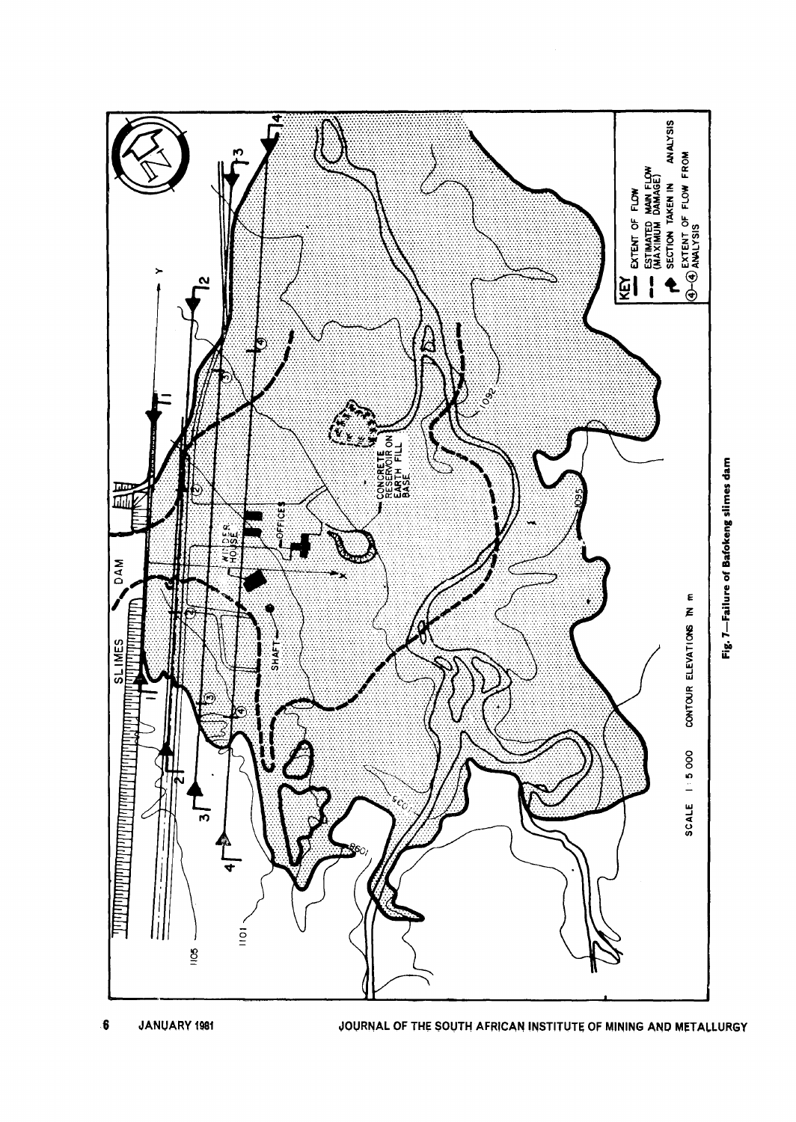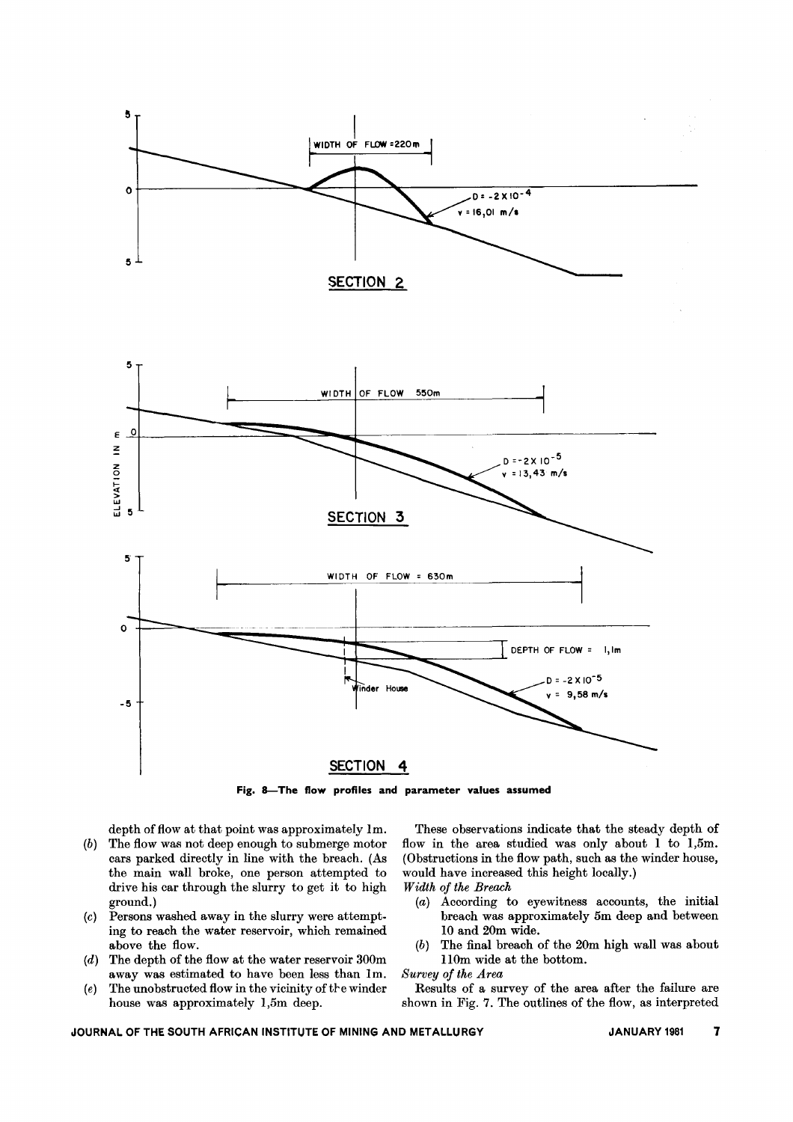

Fig. 8-The flow profiles and parameter values assumed

depth of flow at that point was approximately Im.

- *(b)* The flow was not deep enough to submerge motor cars parked directly in line with the breach. (As the main wall broke, one person attempted to drive his car through the slurry to get it to high ground.)
- *(c)* Persons washed away in the slurry were attempting to reach the water reservoir, which remained above the flow.
- *(d)* The depth of the flow at the water reservoir 300m away was estimated to have been less than Im.
- (e) The unobstructed flow in the vicinity of the winder house was approximately I,5m deep.

These observations indicate that the steady depth of flow in the area studied was only about I to I,5m. (Obstructions in the flow path, such as the winder house, would have increased this height locally.) *Width of the Breach*

- *(a)* According to eyewitness accounts, the initial breach was approximately 5m deep and between 10 and 20m wide.
- *(b)* The final breach of the 20m high wall was about 110m wide at the bottom.

*Survey of the Area*

Results of a survey of the area after the failure are shown in Fig. 7. The outlines of the flow, as interpreted